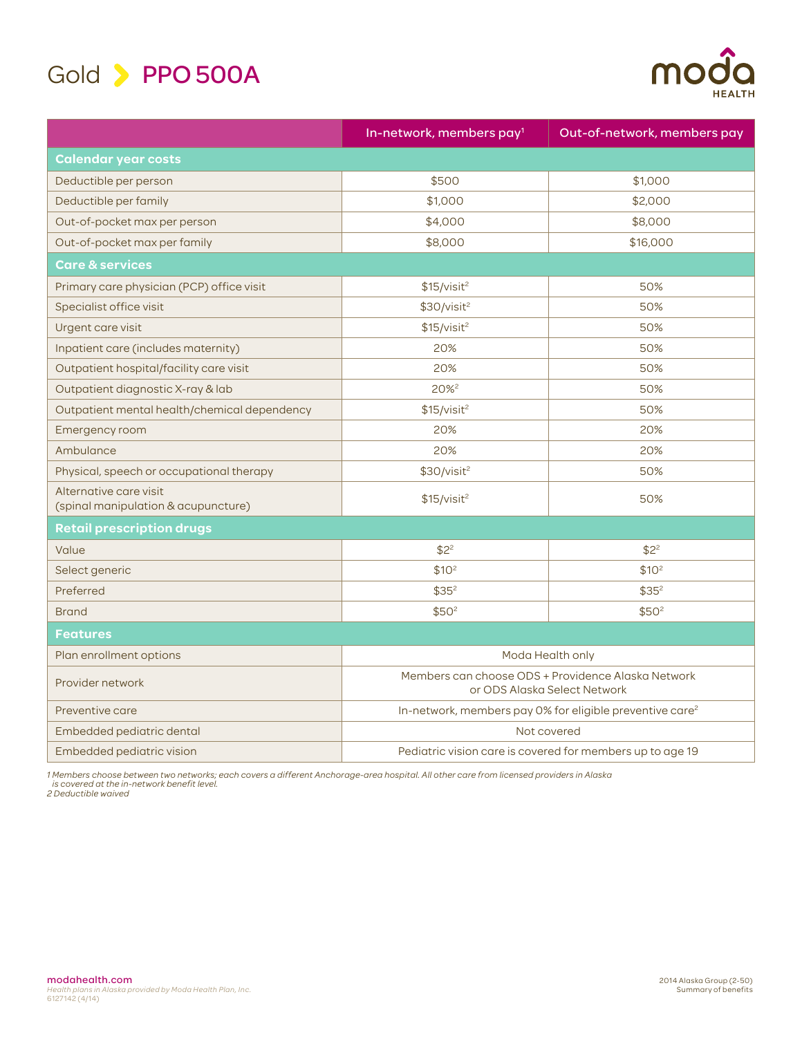



|                                                               | In-network, members pay <sup>1</sup>                                               | Out-of-network, members pay |
|---------------------------------------------------------------|------------------------------------------------------------------------------------|-----------------------------|
| <b>Calendar year costs</b>                                    |                                                                                    |                             |
| Deductible per person                                         | \$500                                                                              | \$1,000                     |
| Deductible per family                                         | \$1,000                                                                            | \$2,000                     |
| Out-of-pocket max per person                                  | \$4,000                                                                            | \$8,000                     |
| Out-of-pocket max per family                                  | \$8,000                                                                            | \$16,000                    |
| Care & services                                               |                                                                                    |                             |
| Primary care physician (PCP) office visit                     | \$15/visit <sup>2</sup>                                                            | 50%                         |
| Specialist office visit                                       | \$30/visit <sup>2</sup>                                                            | 50%                         |
| Urgent care visit                                             | \$15/visit <sup>2</sup>                                                            | 50%                         |
| Inpatient care (includes maternity)                           | 20%                                                                                | 50%                         |
| Outpatient hospital/facility care visit                       | 20%                                                                                | 50%                         |
| Outpatient diagnostic X-ray & lab                             | 20% <sup>2</sup>                                                                   | 50%                         |
| Outpatient mental health/chemical dependency                  | \$15/visit <sup>2</sup>                                                            | 50%                         |
| Emergency room                                                | 20%                                                                                | 20%                         |
| Ambulance                                                     | 20%                                                                                | 20%                         |
| Physical, speech or occupational therapy                      | \$30/visit <sup>2</sup>                                                            | 50%                         |
| Alternative care visit<br>(spinal manipulation & acupuncture) | \$15/visit <sup>2</sup>                                                            | 50%                         |
| <b>Retail prescription drugs</b>                              |                                                                                    |                             |
| Value                                                         | \$2 <sup>2</sup>                                                                   | $$2^2$                      |
| Select generic                                                | \$10 <sup>2</sup>                                                                  | \$10 <sup>2</sup>           |
| Preferred                                                     | \$35 <sup>2</sup>                                                                  | $$35^2$                     |
| <b>Brand</b>                                                  | \$50 <sup>2</sup>                                                                  | \$50 <sup>2</sup>           |
| <b>Features</b>                                               |                                                                                    |                             |
| Plan enrollment options                                       | Moda Health only                                                                   |                             |
| Provider network                                              | Members can choose ODS + Providence Alaska Network<br>or ODS Alaska Select Network |                             |
| Preventive care                                               | In-network, members pay 0% for eligible preventive care <sup>2</sup>               |                             |
| Embedded pediatric dental                                     | Not covered                                                                        |                             |
| Embedded pediatric vision                                     | Pediatric vision care is covered for members up to age 19                          |                             |

1 Members choose between two networks; each covers a different Anchorage-area hospital. All other care from licensed providers in Alaska<br> is covered at the in-network benefit level.<br>2 Deductible waived